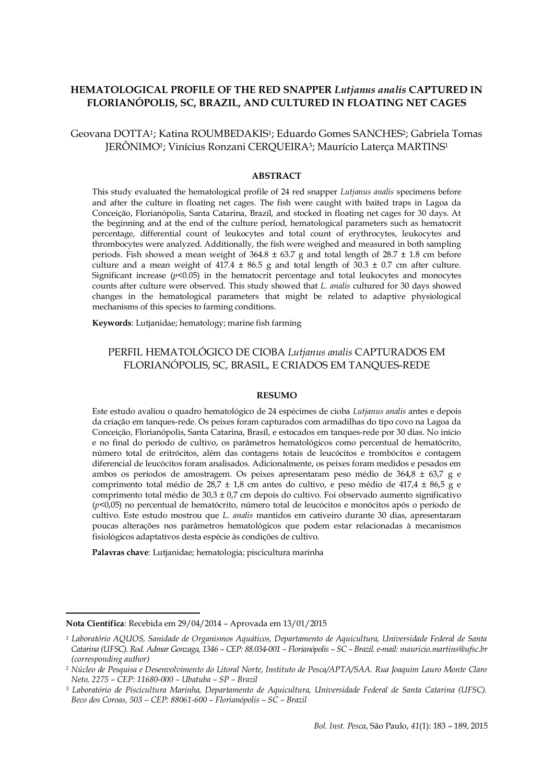# **HEMATOLOGICAL PROFILE OF THE RED SNAPPER** *Lutjanus analis* **CAPTURED IN FLORIANÓPOLIS, SC, BRAZIL, AND CULTURED IN FLOATING NET CAGES**

# Geovana DOTTA1; Katina ROUMBEDAKIS1; Eduardo Gomes SANCHES2; Gabriela Tomas JERÔNIMO1; Vinícius Ronzani CERQUEIRA3; Maurício Laterça MARTINS<sup>1</sup>

#### **ABSTRACT**

This study evaluated the hematological profile of 24 red snapper *Lutjanus analis* specimens before and after the culture in floating net cages. The fish were caught with baited traps in Lagoa da Conceição, Florianópolis, Santa Catarina, Brazil, and stocked in floating net cages for 30 days. At the beginning and at the end of the culture period, hematological parameters such as hematocrit percentage, differential count of leukocytes and total count of erythrocytes, leukocytes and thrombocytes were analyzed. Additionally, the fish were weighed and measured in both sampling periods. Fish showed a mean weight of  $364.8 \pm 63.7$  g and total length of  $28.7 \pm 1.8$  cm before culture and a mean weight of  $417.4 \pm 86.5$  g and total length of  $30.3 \pm 0.7$  cm after culture. Significant increase  $(p< 0.05)$  in the hematocrit percentage and total leukocytes and monocytes counts after culture were observed. This study showed that *L. analis* cultured for 30 days showed changes in the hematological parameters that might be related to adaptive physiological mechanisms of this species to farming conditions.

**Keywords**: Lutjanidae; hematology; marine fish farming

## PERFIL HEMATOLÓGICO DE CIOBA *Lutjanus analis* CAPTURADOS EM FLORIANÓPOLIS, SC, BRASIL, E CRIADOS EM TANQUES-REDE

#### **RESUMO**

Este estudo avaliou o quadro hematológico de 24 espécimes de cioba *Lutjanus analis* antes e depois da criação em tanques-rede. Os peixes foram capturados com armadilhas do tipo covo na Lagoa da Conceição, Florianópolis, Santa Catarina, Brasil, e estocados em tanques-rede por 30 dias. No início e no final do período de cultivo, os parâmetros hematológicos como percentual de hematócrito, número total de eritrócitos, além das contagens totais de leucócitos e trombócitos e contagem diferencial de leucócitos foram analisados. Adicionalmente, os peixes foram medidos e pesados em ambos os períodos de amostragem. Os peixes apresentaram peso médio de 364,8  $\pm$  63,7 g e comprimento total médio de 28,7 ± 1,8 cm antes do cultivo, e peso médio de 417,4 ± 86,5 g e comprimento total médio de  $30.3 \pm 0.7$  cm depois do cultivo. Foi observado aumento significativo (*p*<0,05) no percentual de hematócrito, número total de leucócitos e monócitos após o período de cultivo. Este estudo mostrou que *L. analis* mantidos em cativeiro durante 30 dias, apresentaram poucas alterações nos parâmetros hematológicos que podem estar relacionadas à mecanismos fisiológicos adaptativos desta espécie às condições de cultivo.

**Palavras chave**: Lutjanidae; hematologia; piscicultura marinha

**Nota Científica**: Recebida em 29/04/2014 – Aprovada em 13/01/2015

-

*<sup>1</sup> Laboratório AQUOS, Sanidade de Organismos Aquáticos, Departamento de Aquicultura, Universidade Federal de Santa Catarina (UFSC). Rod. Admar Gonzaga, 1346 – CEP: 88.034-001 – Florianópolis – SC – Brazil. e-mail: [mauricio.martins@ufsc.br](mailto:mlaterca@cca.ufsc.br) (corresponding author)*

*<sup>2</sup> Núcleo de Pesquisa e Desenvolvimento do Litoral Norte, Instituto de Pesca/APTA/SAA. Rua Joaquim Lauro Monte Claro Neto, 2275 – CEP: 11680-000 – Ubatuba – SP – Brazil*

*<sup>3</sup> Laboratório de Piscicultura Marinha, Departamento de Aquicultura, Universidade Federal de Santa Catarina (UFSC). Beco dos Coroas, 503 – CEP: 88061-600 – Florianópolis – SC – Brazil*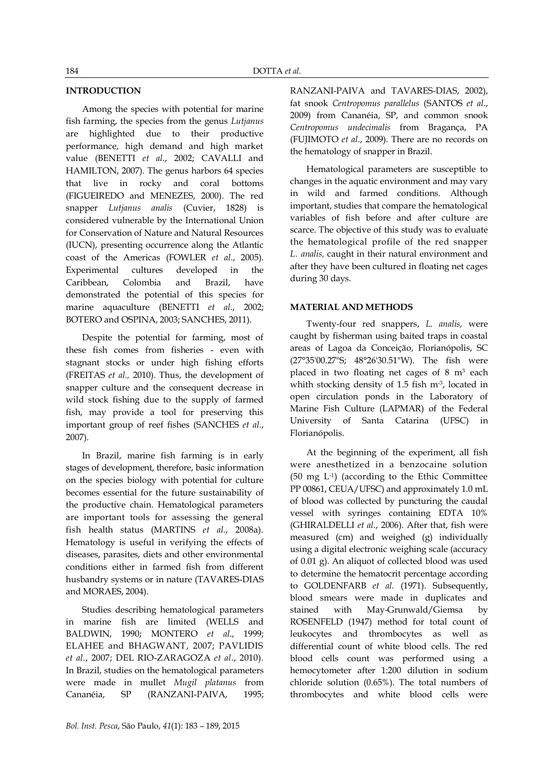## **INTRODUCTION**

Among the species with potential for marine fish farming, the species from the genus *Lutjanus*  are highlighted due to their productive performance, high demand and high market value (BENETTI *et al*., 2002; CAVALLI and HAMILTON, 2007)*.* The genus harbors 64 species that live in rocky and coral bottoms (FIGUEIREDO and MENEZES, 2000). The red snapper *Lutjanus analis* (Cuvier, 1828) is considered vulnerable by the International Union for Conservation of Nature and Natural Resources (IUCN), presenting occurrence along the Atlantic coast of the Americas (FOWLER *et al*., 2005). Experimental cultures developed in the Caribbean, Colombia and Brazil, have demonstrated the potential of this species for marine aquaculture (BENETTI *et al*., 2002; BOTERO and OSPINA, 2003; SANCHES, 2011).

Despite the potential for farming, most of these fish comes from fisheries - even with stagnant stocks or under high fishing efforts (FREITAS *et al.,* 2010). Thus, the development of snapper culture and the consequent decrease in wild stock fishing due to the supply of farmed fish, may provide a tool for preserving this important group of reef fishes (SANCHES *et al.*, 2007).

In Brazil, marine fish farming is in early stages of development, therefore, basic information on the species biology with potential for culture becomes essential for the future sustainability of the productive chain. Hematological parameters are important tools for assessing the general fish health status (MARTINS *et al.*, 2008a). Hematology is useful in verifying the effects of diseases, parasites, diets and other environmental conditions either in farmed fish from different husbandry systems or in nature (TAVARES-DIAS and MORAES, 2004).

Studies describing hematological parameters in marine fish are limited (WELLS and BALDWIN, 1990; MONTERO *et al*., 1999; ELAHEE and BHAGWANT, 2007; PAVLIDIS *et al.*, 2007; DEL RIO-ZARAGOZA *et al*., 2010). In Brazil, studies on the hematological parameters were made in mullet *Mugil platanus* from Cananéia, SP (RANZANI-PAIVA, 1995;

RANZANI-PAIVA and TAVARES-DIAS, 2002), fat snook *Centropomus parallelus* (SANTOS *et al*., 2009) from Cananéia, SP, and common snook *Centropomus undecimalis* from Bragança, PA (FUJIMOTO *et al*., 2009). There are no records on the hematology of snapper in Brazil.

Hematological parameters are susceptible to changes in the aquatic environment and may vary in wild and farmed conditions. Although important, studies that compare the hematological variables of fish before and after culture are scarce. The objective of this study was to evaluate the hematological profile of the red snapper *L. analis,* caught in their natural environment and after they have been cultured in floating net cages during 30 days.

### **MATERIAL AND METHODS**

Twenty-four red snappers, *L. analis,* were caught by fisherman using baited traps in coastal areas of Lagoa da Conceição, Florianópolis, SC (27°35'00.27"S; 48°26'30.51"W). The fish were placed in two floating net cages of 8 m<sup>3</sup> each whith stocking density of 1.5 fish m<sup>-3</sup>, located in open circulation ponds in the Laboratory of Marine Fish Culture (LAPMAR) of the Federal University of Santa Catarina (UFSC) in Florianópolis.

At the beginning of the experiment, all fish were anesthetized in a benzocaine solution (50 mg L-1 ) (according to the Ethic Committee PP 00861, CEUA/UFSC) and approximately 1.0 mL of blood was collected by puncturing the caudal vessel with syringes containing EDTA 10% (GHIRALDELLI *et al*., 2006). After that, fish were measured (cm) and weighed (g) individually using a digital electronic weighing scale (accuracy of 0.01 g). An aliquot of collected blood was used to determine the hematocrit percentage according to GOLDENFARB *et al.* (1971). Subsequently, blood smears were made in duplicates and stained with May-Grunwald/Giemsa by ROSENFELD (1947) method for total count of leukocytes and thrombocytes as well as differential count of white blood cells. The red blood cells count was performed using a hemocytometer after 1:200 dilution in sodium chloride solution (0.65%). The total numbers of thrombocytes and white blood cells were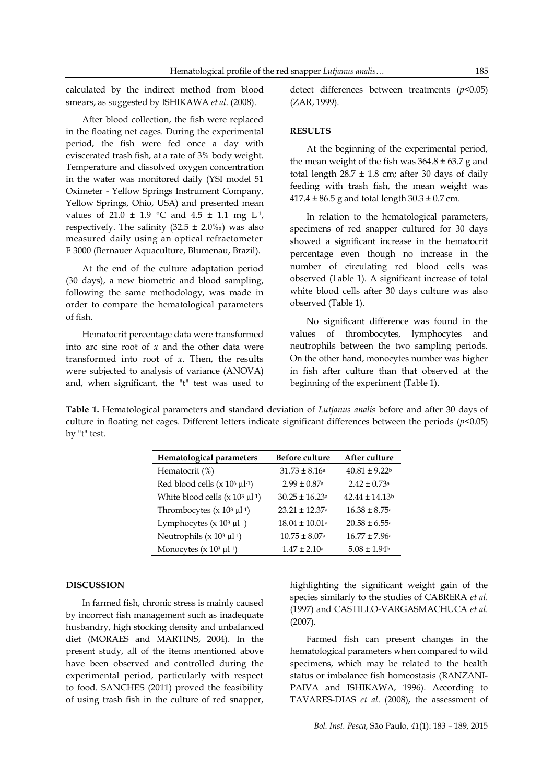calculated by the indirect method from blood smears, as suggested by ISHIKAWA *et al*. (2008).

After blood collection, the fish were replaced in the floating net cages. During the experimental period, the fish were fed once a day with eviscerated trash fish, at a rate of 3% body weight. Temperature and dissolved oxygen concentration in the water was monitored daily (YSI model 51 Oximeter - Yellow Springs Instrument Company, Yellow Springs, Ohio, USA) and presented mean values of 21.0  $\pm$  1.9 °C and 4.5  $\pm$  1.1 mg L<sup>1</sup>, respectively. The salinity  $(32.5 \pm 2.0\%)$  was also measured daily using an optical refractometer F 3000 (Bernauer Aquaculture, Blumenau, Brazil).

At the end of the culture adaptation period (30 days), a new biometric and blood sampling, following the same methodology, was made in order to compare the hematological parameters of fish.

Hematocrit percentage data were transformed into arc sine root of *x* and the other data were transformed into root of *x*. Then, the results were subjected to analysis of variance (ANOVA) and, when significant, the "t" test was used to detect differences between treatments (*p*<0.05) (ZAR, 1999).

### **RESULTS**

At the beginning of the experimental period, the mean weight of the fish was  $364.8 \pm 63.7$  g and total length  $28.7 \pm 1.8$  cm; after 30 days of daily feeding with trash fish, the mean weight was  $417.4 \pm 86.5$  g and total length  $30.3 \pm 0.7$  cm.

In relation to the hematological parameters, specimens of red snapper cultured for 30 days showed a significant increase in the hematocrit percentage even though no increase in the number of circulating red blood cells was observed (Table 1). A significant increase of total white blood cells after 30 days culture was also observed (Table 1).

No significant difference was found in the values of thrombocytes, lymphocytes and neutrophils between the two sampling periods. On the other hand, monocytes number was higher in fish after culture than that observed at the beginning of the experiment (Table 1).

**Table 1.** Hematological parameters and standard deviation of *Lutjanus analis* before and after 30 days of culture in floating net cages. Different letters indicate significant differences between the periods (*p*<0.05) by "t" test.

| Hematological parameters                                   | <b>Before culture</b>          | After culture            |
|------------------------------------------------------------|--------------------------------|--------------------------|
| Hematocrit (%)                                             | $31.73 \pm 8.16a$              | $40.81 \pm 9.22$         |
| Red blood cells $(x 106 \mu l^{-1})$                       | $2.99 \pm 0.87$ <sup>a</sup>   | $2.42 + 0.73a$           |
| White blood cells $(x 10^3 \mu l^{-1})$                    | $30.25 \pm 16.23$ <sup>a</sup> | $42.44 \pm 14.13$        |
| Thrombocytes ( $\times$ 10 <sup>3</sup> µl <sup>-1</sup> ) | $23.21 \pm 12.37$ <sup>a</sup> | $16.38 + 8.75a$          |
| Lymphocytes ( $\times$ 10 <sup>3</sup> µl <sup>-1</sup> )  | $18.04 \pm 10.01$ <sup>a</sup> | $20.58 \pm 6.55^{\circ}$ |
| Neutrophils ( $\times$ 10 <sup>3</sup> µl <sup>-1</sup> )  | $10.75 \pm 8.07$ <sup>a</sup>  | $16.77 \pm 7.96a$        |
| Monocytes $(x 10^3 \mu l^{-1})$                            | $1.47 + 2.10a$                 | $5.08 \pm 1.94$          |

### **DISCUSSION**

In farmed fish, chronic stress is mainly caused by incorrect fish management such as inadequate husbandry, high stocking density and unbalanced diet (MORAES and MARTINS, 2004). In the present study, all of the items mentioned above have been observed and controlled during the experimental period, particularly with respect to food. SANCHES (2011) proved the feasibility of using trash fish in the culture of red snapper,

highlighting the significant weight gain of the species similarly to the studies of CABRERA *et al.* (1997) and CASTILLO-VARGASMACHUCA *et al.* (2007).

Farmed fish can present changes in the hematological parameters when compared to wild specimens, which may be related to the health status or imbalance fish homeostasis (RANZANI-PAIVA and ISHIKAWA, 1996). According to TAVARES-DIAS *et al*. (2008), the assessment of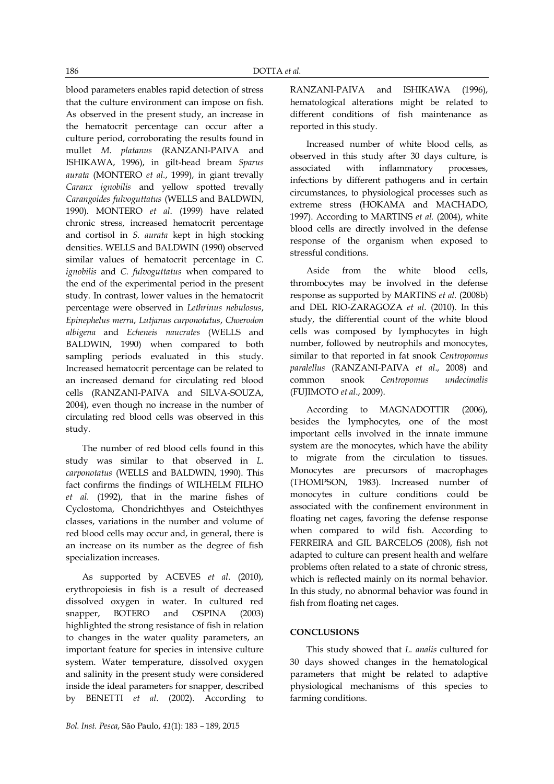blood parameters enables rapid detection of stress that the culture environment can impose on fish. As observed in the present study, an increase in the hematocrit percentage can occur after a culture period, corroborating the results found in mullet *M. platanus* (RANZANI-PAIVA and ISHIKAWA, 1996), in gilt-head bream *Sparus aurata* (MONTERO *et al.*, 1999), in giant trevally *Caranx ignobilis* and yellow spotted trevally *Carangoides fulvoguttatus* (WELLS and BALDWIN, 1990). MONTERO *et al*. (1999) have related chronic stress, increased hematocrit percentage and cortisol in *S. aurata* kept in high stocking densities. WELLS and BALDWIN (1990) observed similar values of hematocrit percentage in *C. ignobilis* and *C. fulvoguttatus* when compared to the end of the experimental period in the present study. In contrast, lower values in the hematocrit percentage were observed in *Lethrinus nebulosus*, *Epinephelus merra*, *Lutjanus carponotatus*, *Choerodon albigena* and *Echeneis naucrates* (WELLS and BALDWIN, 1990) when compared to both sampling periods evaluated in this study. Increased hematocrit percentage can be related to an increased demand for circulating red blood cells (RANZANI-PAIVA and SILVA-SOUZA, 2004), even though no increase in the number of circulating red blood cells was observed in this study.

The number of red blood cells found in this study was similar to that observed in *L. carponotatus* (WELLS and BALDWIN, 1990). This fact confirms the findings of WILHELM FILHO *et al.* (1992), that in the marine fishes of Cyclostoma, Chondrichthyes and Osteichthyes classes, variations in the number and volume of red blood cells may occur and, in general, there is an increase on its number as the degree of fish specialization increases.

As supported by ACEVES *et al*. (2010), erythropoiesis in fish is a result of decreased dissolved oxygen in water. In cultured red snapper, BOTERO and OSPINA (2003) highlighted the strong resistance of fish in relation to changes in the water quality parameters, an important feature for species in intensive culture system. Water temperature, dissolved oxygen and salinity in the present study were considered inside the ideal parameters for snapper, described by BENETTI *et al*. (2002). According to RANZANI-PAIVA and ISHIKAWA (1996), hematological alterations might be related to different conditions of fish maintenance as reported in this study.

Increased number of white blood cells, as observed in this study after 30 days culture, is associated with inflammatory processes, infections by different pathogens and in certain circumstances, to physiological processes such as extreme stress (HOKAMA and MACHADO, 1997). According to MARTINS *et al.* (2004), white blood cells are directly involved in the defense response of the organism when exposed to stressful conditions.

Aside from the white blood cells, thrombocytes may be involved in the defense response as supported by MARTINS *et al.* (2008b) and DEL RIO-ZARAGOZA *et al*. (2010). In this study, the differential count of the white blood cells was composed by lymphocytes in high number, followed by neutrophils and monocytes, similar to that reported in fat snook *Centropomus paralellus* (RANZANI-PAIVA *et al*., 2008) and common snook *Centropomus undecimalis* (FUJIMOTO *et al*., 2009).

According to MAGNADOTTIR (2006), besides the lymphocytes, one of the most important cells involved in the innate immune system are the monocytes, which have the ability to migrate from the circulation to tissues. Monocytes are precursors of macrophages (THOMPSON, 1983). Increased number of monocytes in culture conditions could be associated with the confinement environment in floating net cages, favoring the defense response when compared to wild fish. According to FERREIRA and GIL BARCELOS (2008), fish not adapted to culture can present health and welfare problems often related to a state of chronic stress, which is reflected mainly on its normal behavior. In this study, no abnormal behavior was found in fish from floating net cages.

### **CONCLUSIONS**

This study showed that *L. analis* cultured for 30 days showed changes in the hematological parameters that might be related to adaptive physiological mechanisms of this species to farming conditions.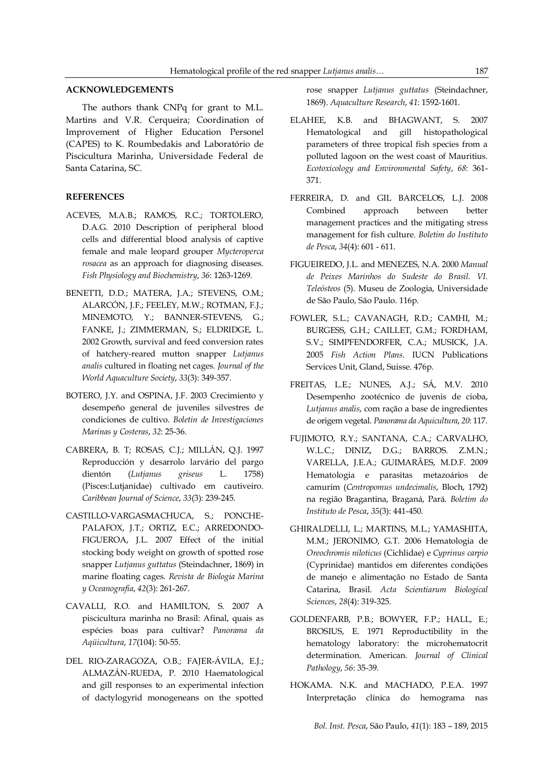### **ACKNOWLEDGEMENTS**

The authors thank CNPq for grant to M.L. Martins and V.R. Cerqueira; Coordination of Improvement of Higher Education Personel (CAPES) to K. Roumbedakis and Laboratório de Piscicultura Marinha, Universidade Federal de Santa Catarina, SC.

### **REFERENCES**

- ACEVES, M.A.B.; RAMOS, R.C.; TORTOLERO, D.A.G. 2010 Description of peripheral blood cells and differential blood analysis of captive female and male leopard grouper *Mycteroperca rosacea* as an approach for diagnosing diseases. *Fish Physiology and Biochemistry*, *36*: 1263-1269.
- BENETTI, D.D.; MATERA, J.A.; STEVENS, O.M.; ALARCÓN, J.F.; FEELEY, M.W.; ROTMAN, F.J.; MINEMOTO, Y.; BANNER-STEVENS, G.; FANKE, J.; ZIMMERMAN, S.; ELDRIDGE, L. 2002 Growth, survival and feed conversion rates of hatchery-reared mutton snapper *Lutjanus analis* cultured in floating net cages. *Journal of the World Aquaculture Society*, *33*(3): 349-357.
- BOTERO, J.Y. and OSPINA, J.F. 2003 Crecimiento y desempeño general de juveniles silvestres de condiciones de cultivo. *Boletin de Investigaciones Marinas y Costeras*, *32*: 25-36.
- CABRERA, B. T; ROSAS, C.J.; MILLÁN, Q.J. 1997 Reproducción y desarrolo larvário del pargo dientón (*Lutjanus griseus* L. 1758) (Pisces:Lutjanidae) cultivado em cautiveiro. *Caribbean Journal of Science*, *33*(3): 239-245.
- CASTILLO-VARGASMACHUCA, S.; PONCHE-PALAFOX, J.T.; ORTIZ, E.C.; ARREDONDO-FIGUEROA, J.L. 2007 Effect of the initial stocking body weight on growth of spotted rose snapper *Lutjanus guttatus* (Steindachner, 1869) in marine floating cages. *Revista de Biologia Marina y Oceanografia*, *42*(3): 261-267.
- CAVALLI, R.O. and HAMILTON, S. 2007 A piscicultura marinha no Brasil: Afinal, quais as espécies boas para cultivar? *Panorama da Aqüicultura*, *17*(104): 50-55.
- DEL RIO-ZARAGOZA, O.B.; FAJER-ÁVILA, E.J.; ALMAZÁN-RUEDA, P. 2010 Haematological and gill responses to an experimental infection of dactylogyrid monogeneans on the spotted

rose snapper *Lutjanus guttatus* (Steindachner, 1869). *Aquaculture Research*, *41*: 1592-1601.

- ELAHEE, K.B. and BHAGWANT, S. 2007 Hematological and gill histopathological parameters of three tropical fish species from a polluted lagoon on the west coast of Mauritius. *Ecotoxicology and Environmental Safety*, *68*: 361- 371.
- FERREIRA, D. and GIL BARCELOS, L.J. 2008 Combined approach between better management practices and the mitigating stress management for fish culture. *Boletim do Instituto de Pesca*, *34*(4): 601 - 611.
- FIGUEIREDO, J.L. and MENEZES, N.A. 2000 *Manual de Peixes Marinhos do Sudeste do Brasil. VI. Teleósteos* (5). Museu de Zoologia, Universidade de São Paulo, São Paulo. 116p.
- FOWLER, S.L.; CAVANAGH, R.D.; CAMHI, M.; BURGESS, G.H.; CAILLET, G.M.; FORDHAM, S.V.; SIMPFENDORFER, C.A.; MUSICK, J.A. 2005 *Fish Action Plans*. IUCN Publications Services Unit, Gland, Suisse. 476p.
- FREITAS, L.E.; NUNES, A.J.; SÁ, M.V. 2010 Desempenho zootécnico de juvenis de cioba, *Lutjanus analis*, com ração a base de ingredientes de origem vegetal. *Panorama da Aquicultura*, *20*: 117.
- FUJIMOTO, R.Y.; SANTANA, C.A.; CARVALHO, W.L.C.; DINIZ, D.G.; BARROS. Z.M.N.; VARELLA, J.E.A.; GUIMARÃES, M.D.F. 2009 Hematologia e parasitas metazoários de camurim (*Centropomus undecimalis*, Bloch, 1792) na região Bragantina, Braganá, Pará. *Boletim do Instituto de Pesca*, *35*(3): 441-450.
- GHIRALDELLI, L.; MARTINS, M.L.; YAMASHITA, M.M.; JERONIMO, G.T. 2006 Hematologia de *Oreochromis niloticus* (Cichlidae) e *Cyprinus carpio* (Cyprinidae) mantidos em diferentes condições de manejo e alimentação no Estado de Santa Catarina, Brasil. *Acta Scientiarum Biological Sciences*, *28*(4): 319-325.
- GOLDENFARB, P.B.; BOWYER, F.P.; HALL, E.; BROSIUS, E. 1971 Reproductibility in the hematology laboratory: the microhematocrit determination. American. *Journal of Clinical Pathology*, *56*: 35-39.
- HOKAMA. N.K. and MACHADO, P.E.A. 1997 Interpretação clínica do hemograma nas

*Bol. Inst. Pesca*, São Paulo, *41*(1): 183 – 189, 2015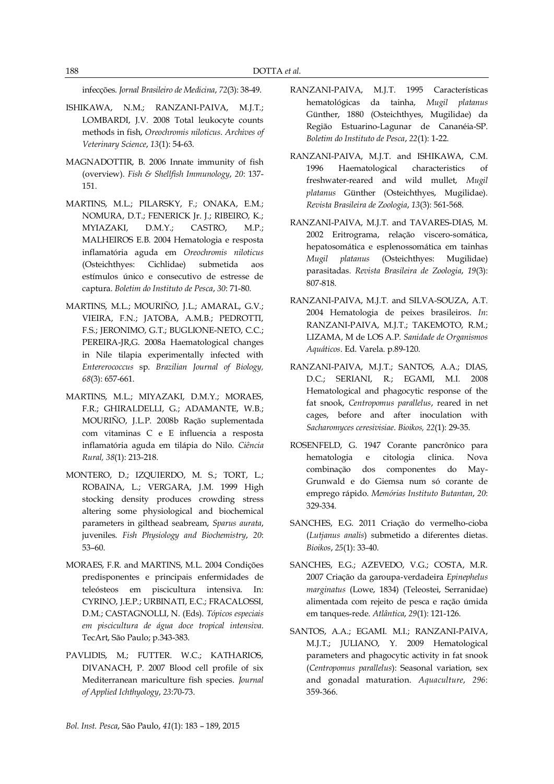infecções. *Jornal Brasileiro de Medicina*, *72*(3): 38-49.

- ISHIKAWA, N.M.; RANZANI-PAIVA, M.J.T.; LOMBARDI, J.V. 2008 Total leukocyte counts methods in fish, *Oreochromis niloticus*. *Archives of Veterinary Science*, *13*(1): 54-63.
- MAGNADOTTIR, B. 2006 Innate immunity of fish (overview). *Fish & Shellfish Immunology*, *20*: 137- 151.
- MARTINS, M.L.; PILARSKY, F.; ONAKA, E.M.; NOMURA, D.T.; FENERICK Jr. J.; RIBEIRO, K.; MYIAZAKI, D.M.Y.; CASTRO, M.P.; MALHEIROS E.B. 2004 Hematologia e resposta inflamatória aguda em *Oreochromis niloticus* (Osteichthyes: Cichlidae) submetida aos estímulos único e consecutivo de estresse de captura. *Boletim do Instituto de Pesca*, *30*: 71-80.
- MARTINS, M.L.; MOURIÑO, J.L.; AMARAL, G.V.; VIEIRA, F.N.; JATOBA, A.M.B.; PEDROTTI, F.S.; JERONIMO, G.T.; BUGLIONE-NETO, C.C.; PEREIRA-JR,G. 2008a Haematological changes in Nile tilapia experimentally infected with *Entererococcus* sp. *Brazilian Journal of Biology, 68*(3): 657-661.
- MARTINS, M.L.; MIYAZAKI, D.M.Y.; MORAES, F.R.; GHIRALDELLI, G.; ADAMANTE, W.B.; MOURIÑO, J.L.P. 2008b Ração suplementada com vitaminas C e E influencia a resposta inflamatória aguda em tilápia do Nilo. *Ciência Rural, 38*(1): 213-218.
- MONTERO, D.; IZQUIERDO, M. S.; TORT, L.; ROBAINA, L.; VERGARA, J.M. 1999 High stocking density produces crowding stress altering some physiological and biochemical parameters in gilthead seabream, *Sparus aurata*, juveniles. *Fish Physiology and Biochemistry*, *20*: 53–60.
- MORAES, F.R. and MARTINS, M.L. 2004 Condições predisponentes e principais enfermidades de teleósteos em piscicultura intensiva. In: CYRINO, J.E.P.; URBINATI, E.C.; FRACALOSSI, D.M.; CASTAGNOLLI, N. (Eds). *Tópicos especiais em piscicultura de água doce tropical intensiva*. TecArt, São Paulo; p.343-383.
- PAVLIDIS, M.; FUTTER. W.C.; KATHARIOS, DIVANACH, P. 2007 Blood cell profile of six Mediterranean mariculture fish species. *Journal of Applied Ichthyology*, *23*:70-73.
- RANZANI-PAIVA, M.J.T. 1995 Características hematológicas da tainha, *Mugil platanus*  Günther, 1880 (Osteichthyes, Mugilidae) da Região Estuarino-Lagunar de Cananéia-SP. *Boletim do Instituto de Pesca*, *22*(1): 1-22.
- RANZANI-PAIVA, M.J.T. and ISHIKAWA, C.M. 1996 Haematological characteristics of freshwater-reared and wild mullet, *Mugil platanus* Günther (Osteichthyes, Mugilidae). *Revista Brasileira de Zoologia*, *13*(3): 561-568.
- RANZANI-PAIVA, M.J.T. and TAVARES-DIAS, M. 2002 Eritrograma, relação viscero-somática, hepatosomática e esplenossomática em tainhas *Mugil platanus* (Osteichthyes: Mugilidae) parasitadas. *Revista Brasileira de Zoologia*, *19*(3): 807-818.
- RANZANI-PAIVA, M.J.T. and SILVA-SOUZA, A.T. 2004 Hematologia de peixes brasileiros. *In*: RANZANI-PAIVA, M.J.T.; TAKEMOTO, R.M.; LIZAMA, M de LOS A.P. *Sanidade de Organismos Aquáticos*. Ed. Varela. p.89-120.
- RANZANI-PAIVA, M.J.T.; SANTOS, A.A.; DIAS, D.C.; SERIANI, R.; EGAMI, M.I. 2008 Hematological and phagocytic response of the fat snook, *Centropomus parallelus*, reared in net cages, before and after inoculation with *Sacharomyces ceresivisiae*. *Bioikos, 22*(1): 29-35.
- ROSENFELD, G. 1947 Corante pancrônico para hematologia e citologia clinica. Nova combinação dos componentes do May-Grunwald e do Giemsa num só corante de emprego rápido. *Memórias Instituto Butantan*, *20*: 329-334.
- SANCHES, E.G. 2011 Criação do vermelho-cioba (*Lutjanus analis*) submetido a diferentes dietas. *Bioikos*, *25*(1): 33-40.
- SANCHES, E.G.; AZEVEDO, V.G.; COSTA, M.R. 2007 Criação da garoupa-verdadeira *Epinephelus marginatus* (Lowe, 1834) (Teleostei, Serranidae) alimentada com rejeito de pesca e ração úmida em tanques-rede. *Atlântica*, *29*(1): 121-126.
- SANTOS, A.A.; EGAMI. M.I.; RANZANI-PAIVA, M.J.T.; JULIANO, Y. 2009 Hematological parameters and phagocytic activity in fat snook (*Centropomus parallelus*): Seasonal variation, sex and gonadal maturation. *Aquaculture*, *296*: 359-366.